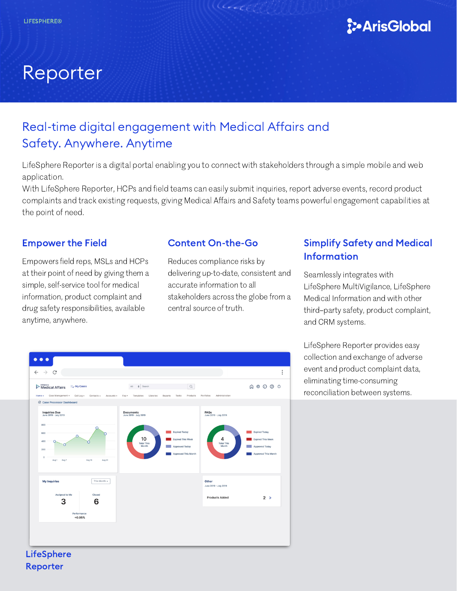

# Reporter

## Real-time digital engagement with Medical Affairs and Safety. Anywhere. Anytime

LifeSphere Reporter is a digital portal enabling you to connect with stakeholders through a simple mobile and web application.

With LifeSphere Reporter, HCPs and field teams can easily submit inquiries, report adverse events, record product complaints and track existing requests, giving Medical Affairs and Safety teams powerful engagement capabilities at the point of need.

## Empower the Field

Empowers field reps, MSLs and HCPs at their point of need by giving them a simple, self-service tool for medical information, product complaint and drug safety responsibilities, available anytime, anywhere.

## Content On-the-Go

Reduces compliance risks by delivering up-to-date, consistent and accurate information to all stakeholders across the globe from a central source of truth.

## Simplify Safety and Medical **Information**

Seamlessly integrates with LifeSphere MultiVigilance, LifeSphere Medical Information and with other third–party safety, product complaint, and CRM systems.

LifeSphere Reporter provides easy collection and exchange of adverse event and product complaint data, eliminating time-consuming reconciliation between systems.